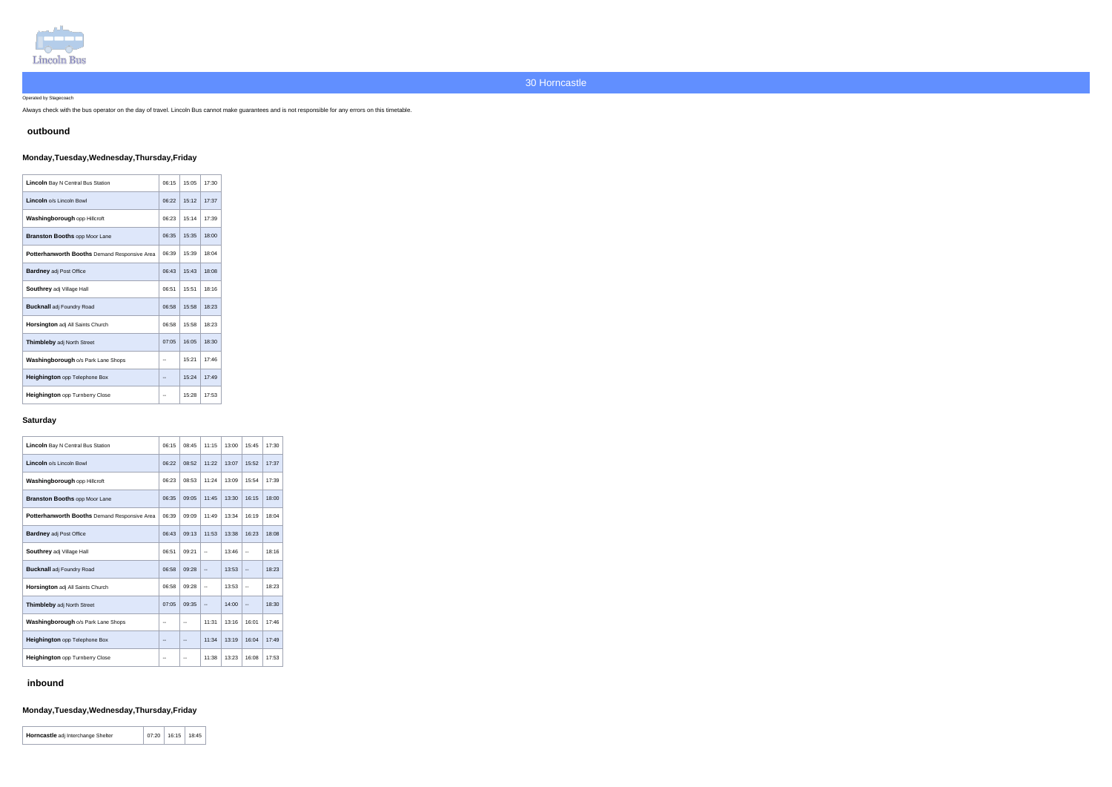

Operated by Stagecoach

Always check with the bus operator on the day of travel. Lincoln Bus cannot make guarantees and is not responsible for any errors on this timetable.

### **outbound**

## **Monday,Tuesday,Wednesday,Thursday,Friday**

| <b>Lincoln</b> Bay N Central Bus Station            | 06:15 | 15:05 | 17:30 |
|-----------------------------------------------------|-------|-------|-------|
| Lincoln o/s Lincoln Bowl                            | 06:22 | 15:12 | 17:37 |
| Washingborough opp Hillcroft                        | 06:23 | 15:14 | 17:39 |
| <b>Branston Booths opp Moor Lane</b>                | 06:35 | 15:35 | 18:00 |
| <b>Potterhanworth Booths Demand Responsive Area</b> | 06:39 | 15:39 | 18:04 |
| <b>Bardney adj Post Office</b>                      | 06:43 | 15:43 | 18:08 |
| Southrey adj Village Hall                           | 06:51 | 15:51 | 18:16 |
| <b>Bucknall</b> adj Foundry Road                    | 06:58 | 15:58 | 18:23 |
| <b>Horsington</b> adj All Saints Church             | 06:58 | 15:58 | 18:23 |
| <b>Thimbleby adj North Street</b>                   | 07:05 | 16:05 | 18:30 |
| Washingborough o/s Park Lane Shops                  | --    | 15:21 | 17:46 |
| Heighington opp Telephone Box                       | --    | 15:24 | 17:49 |
| <b>Heighington</b> opp Turnberry Close              |       | 15:28 | 17:53 |

#### **Saturday**

| <b>Lincoln</b> Bay N Central Bus Station            | 06:15 | 08:45                    | 11:15                    | 13:00 | 15:45                    | 17:30 |
|-----------------------------------------------------|-------|--------------------------|--------------------------|-------|--------------------------|-------|
| Lincoln o/s Lincoln Bowl                            | 06:22 | 08:52                    | 11:22                    | 13:07 | 15:52                    | 17:37 |
| Washingborough opp Hillcroft                        | 06:23 | 08:53                    | 11:24                    | 13:09 | 15:54                    | 17:39 |
| <b>Branston Booths opp Moor Lane</b>                | 06:35 | 09:05                    | 11:45                    | 13:30 | 16:15                    | 18:00 |
| <b>Potterhanworth Booths Demand Responsive Area</b> | 06:39 | 09:09                    | 11:49                    | 13:34 | 16:19                    | 18:04 |
| <b>Bardney adj Post Office</b>                      | 06:43 | 09:13                    | 11:53                    | 13:38 | 16:23                    | 18:08 |
| Southrey adj Village Hall                           | 06:51 | 09:21                    | $\overline{a}$           | 13:46 | $\overline{\phantom{a}}$ | 18:16 |
| <b>Bucknall</b> adj Foundry Road                    | 06:58 | 09:28                    | $\overline{\phantom{a}}$ | 13:53 | $\overline{\phantom{a}}$ | 18:23 |
| Horsington adj All Saints Church                    | 06:58 | 09:28                    | --                       | 13:53 | $\overline{\phantom{a}}$ | 18:23 |
| Thimbleby adj North Street                          | 07:05 | 09:35                    | $\overline{\phantom{a}}$ | 14:00 | $\overline{\phantom{a}}$ | 18:30 |
| Washingborough o/s Park Lane Shops                  | --    | $\overline{\phantom{a}}$ | 11:31                    | 13:16 | 16:01                    | 17:46 |
| Heighington opp Telephone Box                       | --    | $\overline{a}$           | 11:34                    | 13:19 | 16:04                    | 17:49 |
| <b>Heighington opp Turnberry Close</b>              | --    | $-$                      | 11:38                    | 13:23 | 16:08                    | 17:53 |

## **inbound**

# **Monday,Tuesday,Wednesday,Thursday,Friday**

| <b>Horncastle</b> adj Interchange Shelter | 07:20 | 16:15 | 18:45 |  |
|-------------------------------------------|-------|-------|-------|--|
|-------------------------------------------|-------|-------|-------|--|